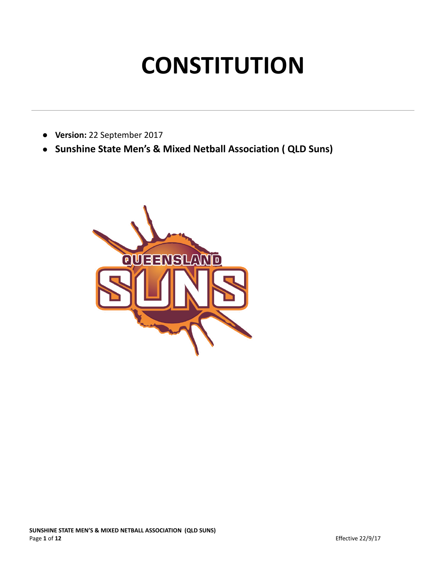# **CONSTITUTION**

- **Version:** 22 September 2017
- **Sunshine State Men's & Mixed Netball Association ( QLD Suns)**

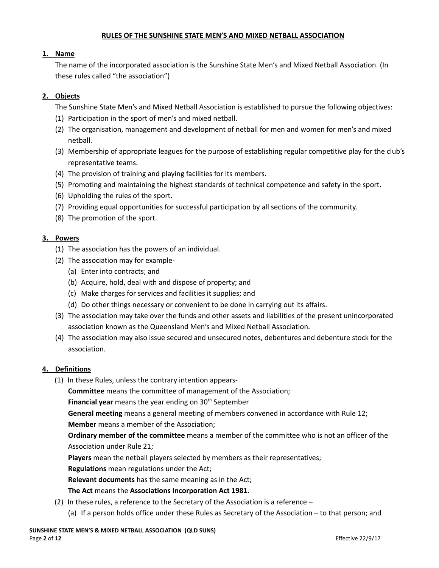#### **RULES OF THE SUNSHINE STATE MEN'S AND MIXED NETBALL ASSOCIATION**

#### **1. Name**

The name of the incorporated association is the Sunshine State Men's and Mixed Netball Association. (In these rules called "the association")

## **2. Objects**

The Sunshine State Men's and Mixed Netball Association is established to pursue the following objectives:

- (1) Participation in the sport of men's and mixed netball.
- (2) The organisation, management and development of netball for men and women for men's and mixed netball.
- (3) Membership of appropriate leagues for the purpose of establishing regular competitive play for the club's representative teams.
- (4) The provision of training and playing facilities for its members.
- (5) Promoting and maintaining the highest standards of technical competence and safety in the sport.
- (6) Upholding the rules of the sport.
- (7) Providing equal opportunities for successful participation by all sections of the community.
- (8) The promotion of the sport.

## **3. Powers**

- (1) The association has the powers of an individual.
- (2) The association may for example-
	- (a) Enter into contracts; and
	- (b) Acquire, hold, deal with and dispose of property; and
	- (c) Make charges for services and facilities it supplies; and
	- (d) Do other things necessary or convenient to be done in carrying out its affairs.
- (3) The association may take over the funds and other assets and liabilities of the present unincorporated association known as the Queensland Men's and Mixed Netball Association.
- (4) The association may also issue secured and unsecured notes, debentures and debenture stock for the association.

## **4. Definitions**

(1) In these Rules, unless the contrary intention appears-

**Committee** means the committee of management of the Association;

Financial year means the year ending on 30<sup>th</sup> September

**General meeting** means a general meeting of members convened in accordance with Rule 12;

## **Member** means a member of the Association;

**Ordinary member of the committee** means a member of the committee who is not an officer of the Association under Rule 21;

**Players** mean the netball players selected by members as their representatives;

**Regulations** mean regulations under the Act;

**Relevant documents** has the same meaning as in the Act;

# **The Act** means the **Associations Incorporation Act 1981.**

- (2) In these rules, a reference to the Secretary of the Association is a reference
	- (a) If a person holds office under these Rules as Secretary of the Association to that person; and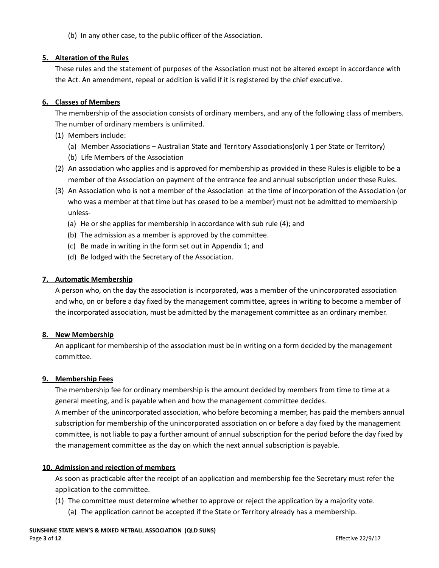(b) In any other case, to the public officer of the Association.

## **5. Alteration of the Rules**

These rules and the statement of purposes of the Association must not be altered except in accordance with the Act. An amendment, repeal or addition is valid if it is registered by the chief executive.

## **6. Classes of Members**

The membership of the association consists of ordinary members, and any of the following class of members. The number of ordinary members is unlimited.

- (1) Members include:
	- (a) Member Associations Australian State and Territory Associations(only 1 per State or Territory)
	- (b) Life Members of the Association
- (2) An association who applies and is approved for membership as provided in these Rules is eligible to be a member of the Association on payment of the entrance fee and annual subscription under these Rules.
- (3) An Association who is not a member of the Association at the time of incorporation of the Association (or who was a member at that time but has ceased to be a member) must not be admitted to membership unless-
	- (a) He or she applies for membership in accordance with sub rule (4); and
	- (b) The admission as a member is approved by the committee.
	- (c) Be made in writing in the form set out in Appendix 1; and
	- (d) Be lodged with the Secretary of the Association.

## **7. Automatic Membership**

A person who, on the day the association is incorporated, was a member of the unincorporated association and who, on or before a day fixed by the management committee, agrees in writing to become a member of the incorporated association, must be admitted by the management committee as an ordinary member.

## **8. New Membership**

An applicant for membership of the association must be in writing on a form decided by the management committee.

## **9. Membership Fees**

The membership fee for ordinary membership is the amount decided by members from time to time at a general meeting, and is payable when and how the management committee decides. A member of the unincorporated association, who before becoming a member, has paid the members annual subscription for membership of the unincorporated association on or before a day fixed by the management committee, is not liable to pay a further amount of annual subscription for the period before the day fixed by the management committee as the day on which the next annual subscription is payable.

# **10. Admission and rejection of members**

As soon as practicable after the receipt of an application and membership fee the Secretary must refer the application to the committee.

- (1) The committee must determine whether to approve or reject the application by a majority vote.
	- (a) The application cannot be accepted if the State or Territory already has a membership.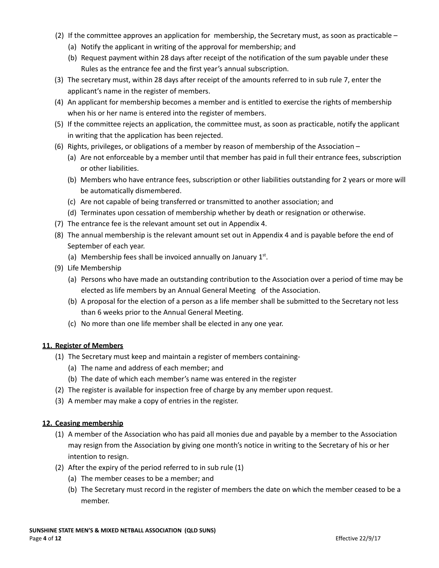- (2) If the committee approves an application for membership, the Secretary must, as soon as practicable
	- (a) Notify the applicant in writing of the approval for membership; and
	- (b) Request payment within 28 days after receipt of the notification of the sum payable under these Rules as the entrance fee and the first year's annual subscription.
- (3) The secretary must, within 28 days after receipt of the amounts referred to in sub rule 7, enter the applicant's name in the register of members.
- (4) An applicant for membership becomes a member and is entitled to exercise the rights of membership when his or her name is entered into the register of members.
- (5) If the committee rejects an application, the committee must, as soon as practicable, notify the applicant in writing that the application has been rejected.
- (6) Rights, privileges, or obligations of a member by reason of membership of the Association
	- (a) Are not enforceable by a member until that member has paid in full their entrance fees, subscription or other liabilities.
	- (b) Members who have entrance fees, subscription or other liabilities outstanding for 2 years or more will be automatically dismembered.
	- (c) Are not capable of being transferred or transmitted to another association; and
	- (d) Terminates upon cessation of membership whether by death or resignation or otherwise.
- (7) The entrance fee is the relevant amount set out in Appendix 4.
- (8) The annual membership is the relevant amount set out in Appendix 4 and is payable before the end of September of each year.
	- (a) Membership fees shall be invoiced annually on January  $1<sup>st</sup>$ .
- (9) Life Membership
	- (a) Persons who have made an outstanding contribution to the Association over a period of time may be elected as life members by an Annual General Meeting of the Association.
	- (b) A proposal for the election of a person as a life member shall be submitted to the Secretary not less than 6 weeks prior to the Annual General Meeting.
	- (c) No more than one life member shall be elected in any one year.

## **11. Register of Members**

- (1) The Secretary must keep and maintain a register of members containing-
	- (a) The name and address of each member; and
	- (b) The date of which each member's name was entered in the register
- (2) The register is available for inspection free of charge by any member upon request.
- (3) A member may make a copy of entries in the register.

## **12. Ceasing membership**

- (1) A member of the Association who has paid all monies due and payable by a member to the Association may resign from the Association by giving one month's notice in writing to the Secretary of his or her intention to resign.
- (2) After the expiry of the period referred to in sub rule (1)
	- (a) The member ceases to be a member; and
	- (b) The Secretary must record in the register of members the date on which the member ceased to be a member.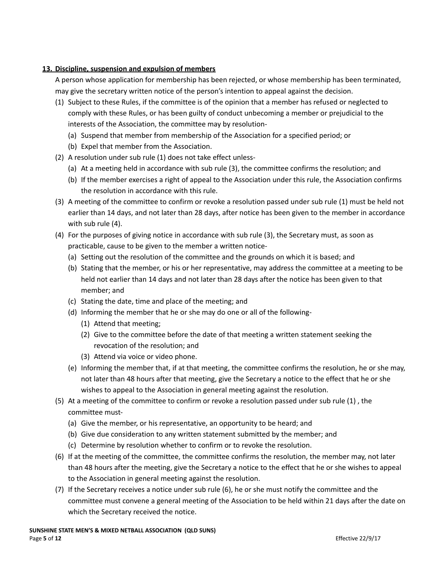## **13. Discipline, suspension and expulsion of members**

A person whose application for membership has been rejected, or whose membership has been terminated, may give the secretary written notice of the person's intention to appeal against the decision.

- (1) Subject to these Rules, if the committee is of the opinion that a member has refused or neglected to comply with these Rules, or has been guilty of conduct unbecoming a member or prejudicial to the interests of the Association, the committee may by resolution-
	- (a) Suspend that member from membership of the Association for a specified period; or
	- (b) Expel that member from the Association.
- (2) A resolution under sub rule (1) does not take effect unless-
	- (a) At a meeting held in accordance with sub rule (3), the committee confirms the resolution; and
	- (b) If the member exercises a right of appeal to the Association under this rule, the Association confirms the resolution in accordance with this rule.
- (3) A meeting of the committee to confirm or revoke a resolution passed under sub rule (1) must be held not earlier than 14 days, and not later than 28 days, after notice has been given to the member in accordance with sub rule (4).
- (4) For the purposes of giving notice in accordance with sub rule (3), the Secretary must, as soon as practicable, cause to be given to the member a written notice-
	- (a) Setting out the resolution of the committee and the grounds on which it is based; and
	- (b) Stating that the member, or his or her representative, may address the committee at a meeting to be held not earlier than 14 days and not later than 28 days after the notice has been given to that member; and
	- (c) Stating the date, time and place of the meeting; and
	- (d) Informing the member that he or she may do one or all of the following-
		- (1) Attend that meeting;
		- (2) Give to the committee before the date of that meeting a written statement seeking the revocation of the resolution; and
		- (3) Attend via voice or video phone.
	- (e) Informing the member that, if at that meeting, the committee confirms the resolution, he or she may, not later than 48 hours after that meeting, give the Secretary a notice to the effect that he or she wishes to appeal to the Association in general meeting against the resolution.
- (5) At a meeting of the committee to confirm or revoke a resolution passed under sub rule (1) , the committee must-
	- (a) Give the member, or his representative, an opportunity to be heard; and
	- (b) Give due consideration to any written statement submitted by the member; and
	- (c) Determine by resolution whether to confirm or to revoke the resolution.
- (6) If at the meeting of the committee, the committee confirms the resolution, the member may, not later than 48 hours after the meeting, give the Secretary a notice to the effect that he or she wishes to appeal to the Association in general meeting against the resolution.
- (7) If the Secretary receives a notice under sub rule (6), he or she must notify the committee and the committee must convene a general meeting of the Association to be held within 21 days after the date on which the Secretary received the notice.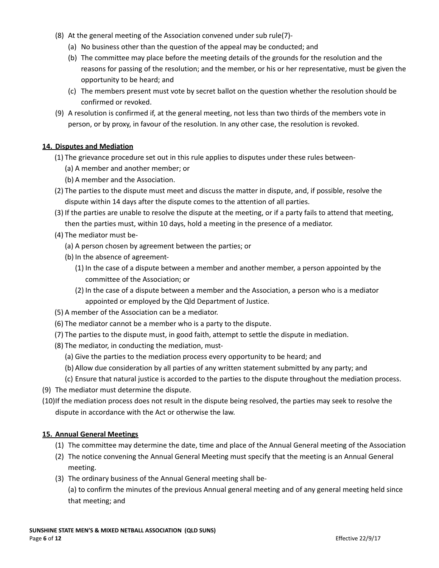- (8) At the general meeting of the Association convened under sub rule(7)-
	- (a) No business other than the question of the appeal may be conducted; and
	- (b) The committee may place before the meeting details of the grounds for the resolution and the reasons for passing of the resolution; and the member, or his or her representative, must be given the opportunity to be heard; and
	- (c) The members present must vote by secret ballot on the question whether the resolution should be confirmed or revoked.
- (9) A resolution is confirmed if, at the general meeting, not less than two thirds of the members vote in person, or by proxy, in favour of the resolution. In any other case, the resolution is revoked.

## **14. Disputes and Mediation**

- (1) The grievance procedure set out in this rule applies to disputes under these rules between-
	- (a) A member and another member; or
	- (b) A member and the Association.
- (2) The parties to the dispute must meet and discuss the matter in dispute, and, if possible, resolve the dispute within 14 days after the dispute comes to the attention of all parties.
- (3) If the parties are unable to resolve the dispute at the meeting, or if a party fails to attend that meeting, then the parties must, within 10 days, hold a meeting in the presence of a mediator.
- (4) The mediator must be-
	- (a) A person chosen by agreement between the parties; or
	- (b) In the absence of agreement-
		- (1) In the case of a dispute between a member and another member, a person appointed by the committee of the Association; or
		- (2) In the case of a dispute between a member and the Association, a person who is a mediator appointed or employed by the Qld Department of Justice.
- (5) A member of the Association can be a mediator.
- (6) The mediator cannot be a member who is a party to the dispute.
- (7) The parties to the dispute must, in good faith, attempt to settle the dispute in mediation.
- (8) The mediator, in conducting the mediation, must-
	- (a) Give the parties to the mediation process every opportunity to be heard; and
	- (b) Allow due consideration by all parties of any written statement submitted by any party; and
	- (c) Ensure that natural justice is accorded to the parties to the dispute throughout the mediation process.
- (9) The mediator must determine the dispute.
- (10)If the mediation process does not result in the dispute being resolved, the parties may seek to resolve the dispute in accordance with the Act or otherwise the law.

## **15. Annual General Meetings**

- (1) The committee may determine the date, time and place of the Annual General meeting of the Association
- (2) The notice convening the Annual General Meeting must specify that the meeting is an Annual General meeting.
- (3) The ordinary business of the Annual General meeting shall be-

(a) to confirm the minutes of the previous Annual general meeting and of any general meeting held since that meeting; and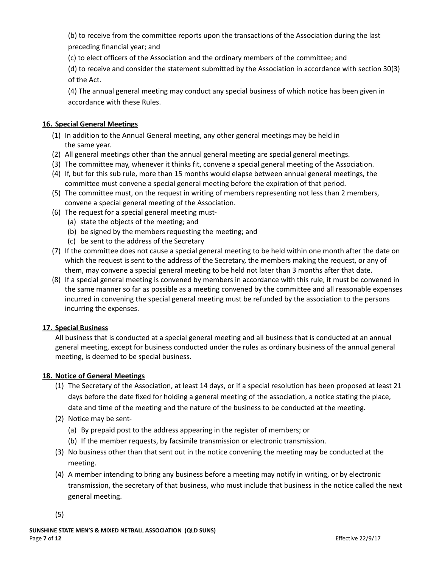(b) to receive from the committee reports upon the transactions of the Association during the last preceding financial year; and

(c) to elect officers of the Association and the ordinary members of the committee; and

(d) to receive and consider the statement submitted by the Association in accordance with section 30(3) of the Act.

(4) The annual general meeting may conduct any special business of which notice has been given in accordance with these Rules.

# **16. Special General Meetings**

- (1) In addition to the Annual General meeting, any other general meetings may be held in the same year.
- (2) All general meetings other than the annual general meeting are special general meetings.
- (3) The committee may, whenever it thinks fit, convene a special general meeting of the Association.
- (4) If, but for this sub rule, more than 15 months would elapse between annual general meetings, the committee must convene a special general meeting before the expiration of that period.
- (5) The committee must, on the request in writing of members representing not less than 2 members, convene a special general meeting of the Association.
- (6) The request for a special general meeting must-
	- (a) state the objects of the meeting; and
	- (b) be signed by the members requesting the meeting; and
	- (c) be sent to the address of the Secretary
- (7) If the committee does not cause a special general meeting to be held within one month after the date on which the request is sent to the address of the Secretary, the members making the request, or any of them, may convene a special general meeting to be held not later than 3 months after that date.
- (8) If a special general meeting is convened by members in accordance with this rule, it must be convened in the same manner so far as possible as a meeting convened by the committee and all reasonable expenses incurred in convening the special general meeting must be refunded by the association to the persons incurring the expenses.

## **17. Special Business**

All business that is conducted at a special general meeting and all business that is conducted at an annual general meeting, except for business conducted under the rules as ordinary business of the annual general meeting, is deemed to be special business.

## **18. Notice of General Meetings**

- (1) The Secretary of the Association, at least 14 days, or if a special resolution has been proposed at least 21 days before the date fixed for holding a general meeting of the association, a notice stating the place, date and time of the meeting and the nature of the business to be conducted at the meeting.
- (2) Notice may be sent-
	- (a) By prepaid post to the address appearing in the register of members; or
	- (b) If the member requests, by facsimile transmission or electronic transmission.
- (3) No business other than that sent out in the notice convening the meeting may be conducted at the meeting.
- (4) A member intending to bring any business before a meeting may notify in writing, or by electronic transmission, the secretary of that business, who must include that business in the notice called the next general meeting.

(5)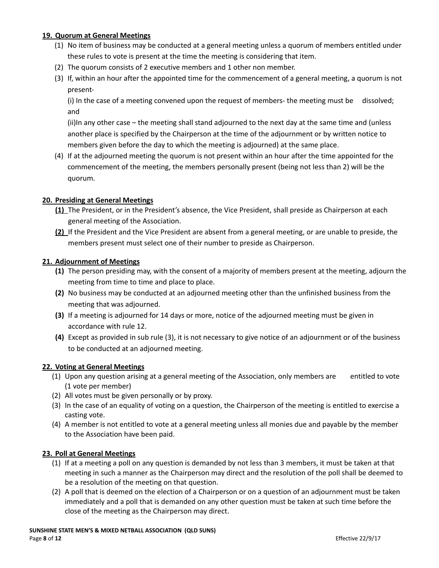## **19. Quorum at General Meetings**

- (1) No item of business may be conducted at a general meeting unless a quorum of members entitled under these rules to vote is present at the time the meeting is considering that item.
- (2) The quorum consists of 2 executive members and 1 other non member.
- (3) If, within an hour after the appointed time for the commencement of a general meeting, a quorum is not present-

(i) In the case of a meeting convened upon the request of members- the meeting must be dissolved; and

(ii)In any other case – the meeting shall stand adjourned to the next day at the same time and (unless another place is specified by the Chairperson at the time of the adjournment or by written notice to members given before the day to which the meeting is adjourned) at the same place.

(4) If at the adjourned meeting the quorum is not present within an hour after the time appointed for the commencement of the meeting, the members personally present (being not less than 2) will be the quorum.

## **20. Presiding at General Meetings**

- **(1)** The President, or in the President's absence, the Vice President, shall preside as Chairperson at each general meeting of the Association.
- **(2)** If the President and the Vice President are absent from a general meeting, or are unable to preside, the members present must select one of their number to preside as Chairperson.

## **21. Adjournment of Meetings**

- **(1)** The person presiding may, with the consent of a majority of members present at the meeting, adjourn the meeting from time to time and place to place.
- **(2)** No business may be conducted at an adjourned meeting other than the unfinished business from the meeting that was adjourned.
- **(3)** If a meeting is adjourned for 14 days or more, notice of the adjourned meeting must be given in accordance with rule 12.
- **(4)** Except as provided in sub rule (3), it is not necessary to give notice of an adjournment or of the business to be conducted at an adjourned meeting.

## **22. Voting at General Meetings**

- (1) Upon any question arising at a general meeting of the Association, only members are entitled to vote (1 vote per member)
- (2) All votes must be given personally or by proxy.
- (3) In the case of an equality of voting on a question, the Chairperson of the meeting is entitled to exercise a casting vote.
- (4) A member is not entitled to vote at a general meeting unless all monies due and payable by the member to the Association have been paid.

## **23. Poll at General Meetings**

- (1) If at a meeting a poll on any question is demanded by not less than 3 members, it must be taken at that meeting in such a manner as the Chairperson may direct and the resolution of the poll shall be deemed to be a resolution of the meeting on that question.
- (2) A poll that is deemed on the election of a Chairperson or on a question of an adjournment must be taken immediately and a poll that is demanded on any other question must be taken at such time before the close of the meeting as the Chairperson may direct.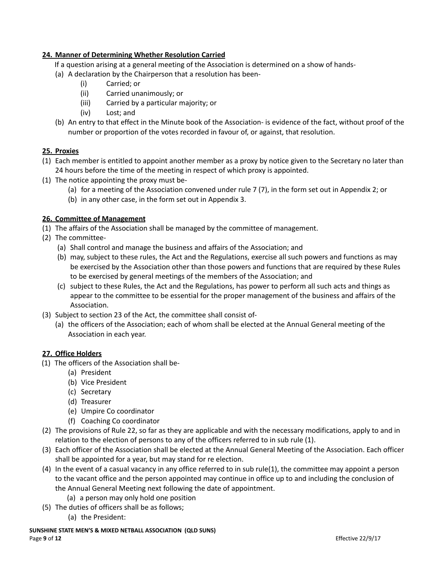# **24. Manner of Determining Whether Resolution Carried**

If a question arising at a general meeting of the Association is determined on a show of hands-

- (a) A declaration by the Chairperson that a resolution has been-
	- (i) Carried; or
	- (ii) Carried unanimously; or
	- (iii) Carried by a particular majority; or
	- (iv) Lost; and
- (b) An entry to that effect in the Minute book of the Association- is evidence of the fact, without proof of the number or proportion of the votes recorded in favour of, or against, that resolution.

## **25. Proxies**

- (1) Each member is entitled to appoint another member as a proxy by notice given to the Secretary no later than 24 hours before the time of the meeting in respect of which proxy is appointed.
- (1) The notice appointing the proxy must be-
	- (a) for a meeting of the Association convened under rule 7 (7), in the form set out in Appendix 2; or
	- (b) in any other case, in the form set out in Appendix 3.

## **26. Committee of Management**

- (1) The affairs of the Association shall be managed by the committee of management.
- (2) The committee-
	- (a) Shall control and manage the business and affairs of the Association; and
	- (b) may, subject to these rules, the Act and the Regulations, exercise all such powers and functions as may be exercised by the Association other than those powers and functions that are required by these Rules to be exercised by general meetings of the members of the Association; and
	- (c) subject to these Rules, the Act and the Regulations, has power to perform all such acts and things as appear to the committee to be essential for the proper management of the business and affairs of the Association.
- (3) Subject to section 23 of the Act, the committee shall consist of-
	- (a) the officers of the Association; each of whom shall be elected at the Annual General meeting of the Association in each year.

## **27. Office Holders**

- (1) The officers of the Association shall be-
	- (a) President
	- (b) Vice President
	- (c) Secretary
	- (d) Treasurer
	- (e) Umpire Co coordinator
	- (f) Coaching Co coordinator
- (2) The provisions of Rule 22, so far as they are applicable and with the necessary modifications, apply to and in relation to the election of persons to any of the officers referred to in sub rule (1).
- (3) Each officer of the Association shall be elected at the Annual General Meeting of the Association. Each officer shall be appointed for a year, but may stand for re election.
- (4) In the event of a casual vacancy in any office referred to in sub rule(1), the committee may appoint a person to the vacant office and the person appointed may continue in office up to and including the conclusion of the Annual General Meeting next following the date of appointment.
	- (a) a person may only hold one position
- (5) The duties of officers shall be as follows; (a) the President:
- **SUNSHINE STATE MEN'S & MIXED NETBALL ASSOCIATION (QLD SUNS)** Page **9** of **12** Effective 22/9/17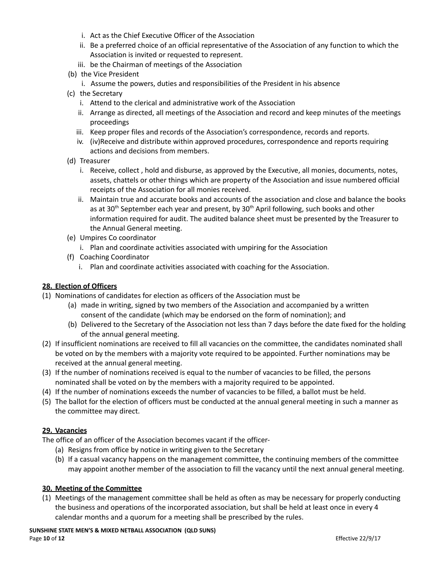- i. Act as the Chief Executive Officer of the Association
- ii. Be a preferred choice of an official representative of the Association of any function to which the Association is invited or requested to represent.
- iii. be the Chairman of meetings of the Association
- (b) the Vice President
	- i. Assume the powers, duties and responsibilities of the President in his absence
- (c) the Secretary
	- i. Attend to the clerical and administrative work of the Association
	- ii. Arrange as directed, all meetings of the Association and record and keep minutes of the meetings proceedings
	- iii. Keep proper files and records of the Association's correspondence, records and reports.
	- iv. (iv)Receive and distribute within approved procedures, correspondence and reports requiring actions and decisions from members.
- (d) Treasurer
	- i. Receive, collect , hold and disburse, as approved by the Executive, all monies, documents, notes, assets, chattels or other things which are property of the Association and issue numbered official receipts of the Association for all monies received.
	- ii. Maintain true and accurate books and accounts of the association and close and balance the books as at 30<sup>th</sup> September each year and present, by 30<sup>th</sup> April following, such books and other information required for audit. The audited balance sheet must be presented by the Treasurer to the Annual General meeting.
- (e) Umpires Co coordinator
	- i. Plan and coordinate activities associated with umpiring for the Association
- (f) Coaching Coordinator
	- i. Plan and coordinate activities associated with coaching for the Association.

## **28. Election of Officers**

- (1) Nominations of candidates for election as officers of the Association must be
	- (a) made in writing, signed by two members of the Association and accompanied by a written consent of the candidate (which may be endorsed on the form of nomination); and
	- (b) Delivered to the Secretary of the Association not less than 7 days before the date fixed for the holding of the annual general meeting.
- (2) If insufficient nominations are received to fill all vacancies on the committee, the candidates nominated shall be voted on by the members with a majority vote required to be appointed. Further nominations may be received at the annual general meeting.
- (3) If the number of nominations received is equal to the number of vacancies to be filled, the persons nominated shall be voted on by the members with a majority required to be appointed.
- (4) If the number of nominations exceeds the number of vacancies to be filled, a ballot must be held.
- (5) The ballot for the election of officers must be conducted at the annual general meeting in such a manner as the committee may direct.

## **29. Vacancies**

The office of an officer of the Association becomes vacant if the officer-

- (a) Resigns from office by notice in writing given to the Secretary
- (b) If a casual vacancy happens on the management committee, the continuing members of the committee may appoint another member of the association to fill the vacancy until the next annual general meeting.

## **30. Meeting of the Committee**

(1) Meetings of the management committee shall be held as often as may be necessary for properly conducting the business and operations of the incorporated association, but shall be held at least once in every 4 calendar months and a quorum for a meeting shall be prescribed by the rules.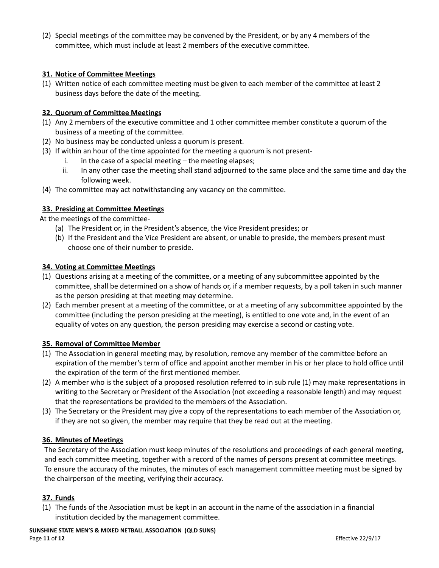(2) Special meetings of the committee may be convened by the President, or by any 4 members of the committee, which must include at least 2 members of the executive committee.

## **31. Notice of Committee Meetings**

(1) Written notice of each committee meeting must be given to each member of the committee at least 2 business days before the date of the meeting.

## **32. Quorum of Committee Meetings**

- (1) Any 2 members of the executive committee and 1 other committee member constitute a quorum of the business of a meeting of the committee.
- (2) No business may be conducted unless a quorum is present.
- (3) If within an hour of the time appointed for the meeting a quorum is not present
	- i. in the case of a special meeting the meeting elapses;
	- ii. In any other case the meeting shall stand adjourned to the same place and the same time and day the following week.
- (4) The committee may act notwithstanding any vacancy on the committee.

## **33. Presiding at Committee Meetings**

At the meetings of the committee-

- (a) The President or, in the President's absence, the Vice President presides; or
- (b) If the President and the Vice President are absent, or unable to preside, the members present must choose one of their number to preside.

#### **34. Voting at Committee Meetings**

- (1) Questions arising at a meeting of the committee, or a meeting of any subcommittee appointed by the committee, shall be determined on a show of hands or, if a member requests, by a poll taken in such manner as the person presiding at that meeting may determine.
- (2) Each member present at a meeting of the committee, or at a meeting of any subcommittee appointed by the committee (including the person presiding at the meeting), is entitled to one vote and, in the event of an equality of votes on any question, the person presiding may exercise a second or casting vote.

## **35. Removal of Committee Member**

- (1) The Association in general meeting may, by resolution, remove any member of the committee before an expiration of the member's term of office and appoint another member in his or her place to hold office until the expiration of the term of the first mentioned member.
- (2) A member who is the subject of a proposed resolution referred to in sub rule (1) may make representations in writing to the Secretary or President of the Association (not exceeding a reasonable length) and may request that the representations be provided to the members of the Association.
- (3) The Secretary or the President may give a copy of the representations to each member of the Association or, if they are not so given, the member may require that they be read out at the meeting.

#### **36. Minutes of Meetings**

The Secretary of the Association must keep minutes of the resolutions and proceedings of each general meeting, and each committee meeting, together with a record of the names of persons present at committee meetings. To ensure the accuracy of the minutes, the minutes of each management committee meeting must be signed by the chairperson of the meeting, verifying their accuracy.

## **37. Funds**

(1) The funds of the Association must be kept in an account in the name of the association in a financial institution decided by the management committee.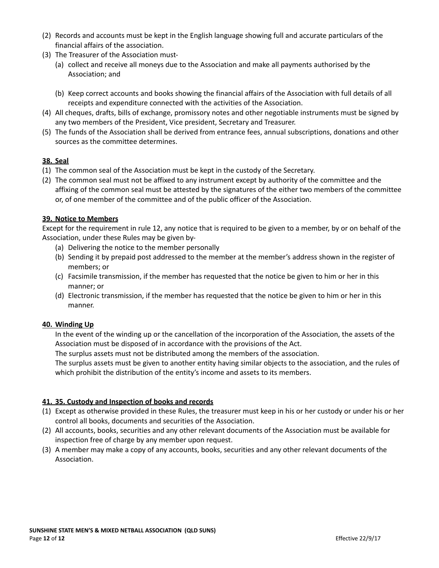- (2) Records and accounts must be kept in the English language showing full and accurate particulars of the financial affairs of the association.
- (3) The Treasurer of the Association must-
	- (a) collect and receive all moneys due to the Association and make all payments authorised by the Association; and
	- (b) Keep correct accounts and books showing the financial affairs of the Association with full details of all receipts and expenditure connected with the activities of the Association.
- (4) All cheques, drafts, bills of exchange, promissory notes and other negotiable instruments must be signed by any two members of the President, Vice president, Secretary and Treasurer.
- (5) The funds of the Association shall be derived from entrance fees, annual subscriptions, donations and other sources as the committee determines.

# **38. Seal**

- (1) The common seal of the Association must be kept in the custody of the Secretary.
- (2) The common seal must not be affixed to any instrument except by authority of the committee and the affixing of the common seal must be attested by the signatures of the either two members of the committee or, of one member of the committee and of the public officer of the Association.

## **39. Notice to Members**

Except for the requirement in rule 12, any notice that is required to be given to a member, by or on behalf of the Association, under these Rules may be given by-

- (a) Delivering the notice to the member personally
- (b) Sending it by prepaid post addressed to the member at the member's address shown in the register of members; or
- (c) Facsimile transmission, if the member has requested that the notice be given to him or her in this manner; or
- (d) Electronic transmission, if the member has requested that the notice be given to him or her in this manner.

## **40. Winding Up**

In the event of the winding up or the cancellation of the incorporation of the Association, the assets of the Association must be disposed of in accordance with the provisions of the Act.

The surplus assets must not be distributed among the members of the association.

The surplus assets must be given to another entity having similar objects to the association, and the rules of which prohibit the distribution of the entity's income and assets to its members.

## **41. 35. Custody and Inspection of books and records**

- (1) Except as otherwise provided in these Rules, the treasurer must keep in his or her custody or under his or her control all books, documents and securities of the Association.
- (2) All accounts, books, securities and any other relevant documents of the Association must be available for inspection free of charge by any member upon request.
- (3) A member may make a copy of any accounts, books, securities and any other relevant documents of the Association.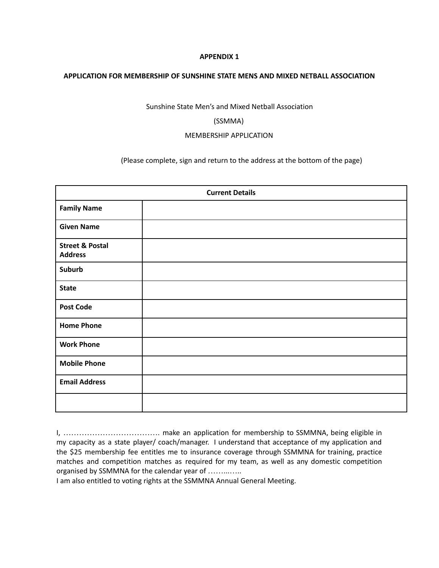#### **APPENDIX 1**

#### **APPLICATION FOR MEMBERSHIP OF SUNSHINE STATE MENS AND MIXED NETBALL ASSOCIATION**

Sunshine State Men's and Mixed Netball Association

#### (SSMMA)

#### MEMBERSHIP APPLICATION

(Please complete, sign and return to the address at the bottom of the page)

| <b>Current Details</b>                       |  |  |
|----------------------------------------------|--|--|
| <b>Family Name</b>                           |  |  |
| <b>Given Name</b>                            |  |  |
| <b>Street &amp; Postal</b><br><b>Address</b> |  |  |
| Suburb                                       |  |  |
| <b>State</b>                                 |  |  |
| <b>Post Code</b>                             |  |  |
| <b>Home Phone</b>                            |  |  |
| <b>Work Phone</b>                            |  |  |
| <b>Mobile Phone</b>                          |  |  |
| <b>Email Address</b>                         |  |  |
|                                              |  |  |

I, ………………………………. make an application for membership to SSMMNA, being eligible in my capacity as a state player/ coach/manager. I understand that acceptance of my application and the \$25 membership fee entitles me to insurance coverage through SSMMNA for training, practice matches and competition matches as required for my team, as well as any domestic competition organised by SSMMNA for the calendar year of ……...…..

I am also entitled to voting rights at the SSMMNA Annual General Meeting.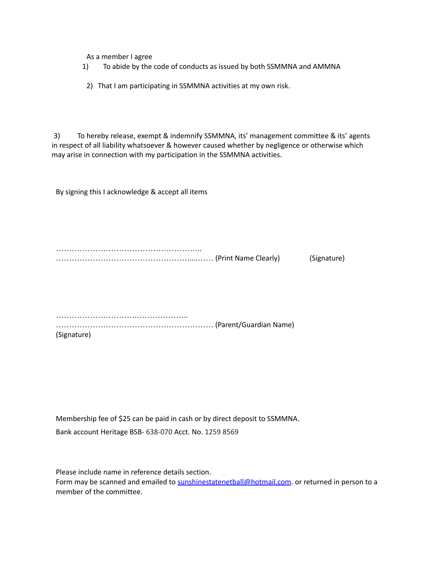As a member I agree

- 1) To abide by the code of conducts as issued by both SSMMNA and AMMNA
- 2) That I am participating in SSMMNA activities at my own risk.

3) To hereby release, exempt & indemnify SSMMNA, its' management committee & its' agents in respect of all liability whatsoever & however caused whether by negligence or otherwise which may arise in connection with my participation in the SSMMNA activities.

By signing this I acknowledge & accept all items

……………………………………………….. ……………………………………………....…… (Print Name Clearly) (Signature)

………………………….……………….. …………………………………………………… (Parent/Guardian Name) (Signature)

Membership fee of \$25 can be paid in cash or by direct deposit to SSMMNA. Bank account Heritage BSB- 638-070 Acct. No. 1259 8569

Please include name in reference details section. Form may be scanned and emailed to [sunshinestatenetball@hotmail.com](mailto:sunshinestatenetball@hotmail.com). or returned in person to a member of the committee.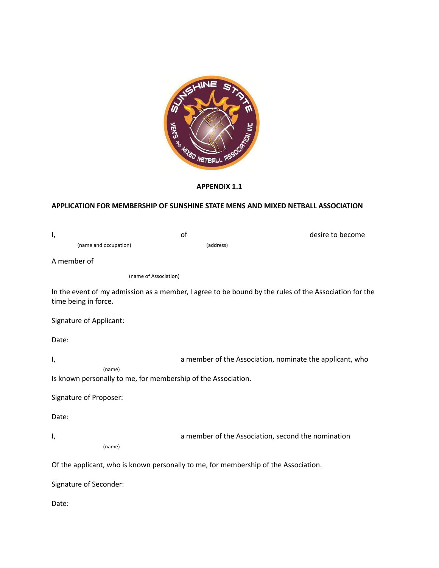

## **APPENDIX 1.1**

# **APPLICATION FOR MEMBERSHIP OF SUNSHINE STATE MENS AND MIXED NETBALL ASSOCIATION**

| ı,                      | of                                                                                  | desire to become                                                                                      |
|-------------------------|-------------------------------------------------------------------------------------|-------------------------------------------------------------------------------------------------------|
| (name and occupation)   | (address)                                                                           |                                                                                                       |
| A member of             |                                                                                     |                                                                                                       |
|                         | (name of Association)                                                               |                                                                                                       |
| time being in force.    |                                                                                     | In the event of my admission as a member, I agree to be bound by the rules of the Association for the |
| Signature of Applicant: |                                                                                     |                                                                                                       |
| Date:                   |                                                                                     |                                                                                                       |
| ۱,                      |                                                                                     | a member of the Association, nominate the applicant, who                                              |
| (name)                  | Is known personally to me, for membership of the Association.                       |                                                                                                       |
| Signature of Proposer:  |                                                                                     |                                                                                                       |
| Date:                   |                                                                                     |                                                                                                       |
| I,                      |                                                                                     | a member of the Association, second the nomination                                                    |
| (name)                  |                                                                                     |                                                                                                       |
|                         | Of the applicant, who is known personally to me, for membership of the Association. |                                                                                                       |
| Signature of Seconder:  |                                                                                     |                                                                                                       |
| Date:                   |                                                                                     |                                                                                                       |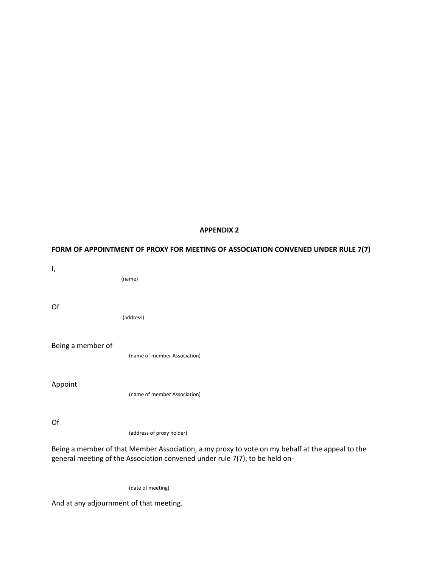#### **APPENDIX 2**

# **FORM OF APPOINTMENT OF PROXY FOR MEETING OF ASSOCIATION CONVENED UNDER RULE 7(7)**

I, (name) Of (address) Being a member of (name of member Association) Appoint (name of member Association) Of (address of proxy holder) Being a member of that Member Association, a my proxy to vote on my behalf at the appeal to the

(date of meeting)

general meeting of the Association convened under rule 7(7), to be held on-

And at any adjournment of that meeting.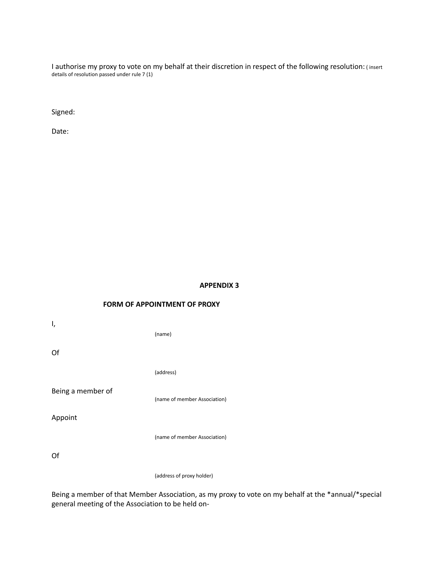I authorise my proxy to vote on my behalf at their discretion in respect of the following resolution: ( insert details of resolution passed under rule 7 (1)

Signed:

Date:

#### **APPENDIX 3**

## **FORM OF APPOINTMENT OF PROXY**

I, (name) Of (address) Being a member of (name of member Association) Appoint (name of member Association)

Of

(address of proxy holder)

Being a member of that Member Association, as my proxy to vote on my behalf at the \*annual/\*special general meeting of the Association to be held on-